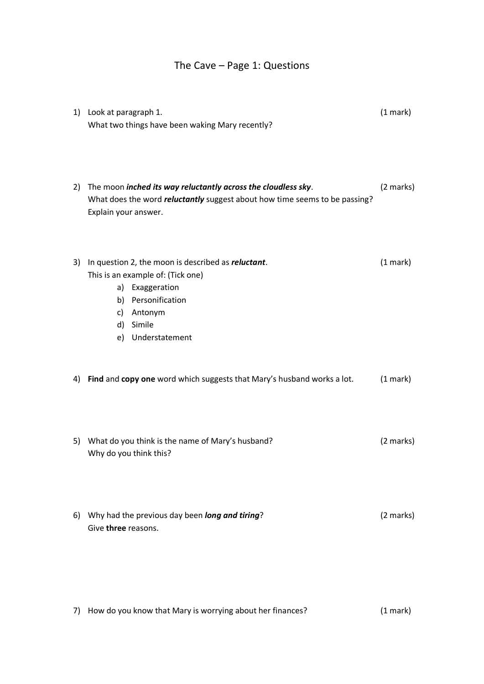## The Cave – Page 1: Questions

|    | 1) Look at paragraph 1.<br>What two things have been waking Mary recently?                                                                                                               | (1 mark)  |
|----|------------------------------------------------------------------------------------------------------------------------------------------------------------------------------------------|-----------|
| 2) | The moon inched its way reluctantly across the cloudless sky.<br>What does the word <i>reluctantly</i> suggest about how time seems to be passing?<br>Explain your answer.               | (2 marks) |
| 3) | In question 2, the moon is described as <i>reluctant</i> .<br>This is an example of: (Tick one)<br>a) Exaggeration<br>b) Personification<br>c) Antonym<br>d) Simile<br>e) Understatement | (1 mark)  |
| 4) | Find and copy one word which suggests that Mary's husband works a lot.                                                                                                                   | (1 mark)  |
|    | 5) What do you think is the name of Mary's husband?<br>Why do you think this?                                                                                                            | (2 marks) |
| 6) | Why had the previous day been long and tiring?<br>Give three reasons.                                                                                                                    | (2 marks) |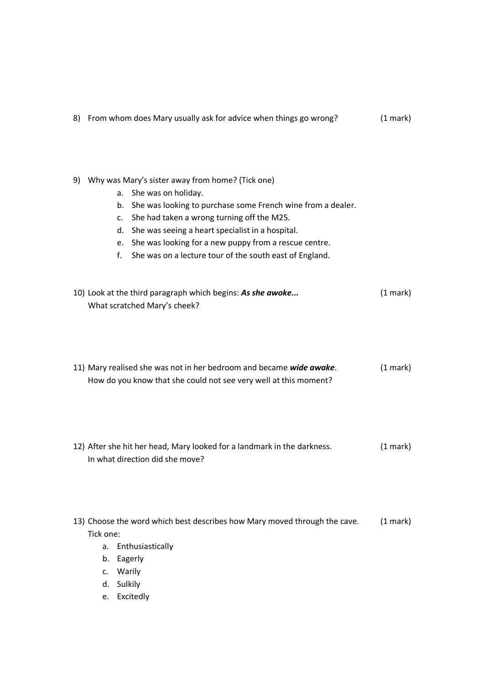|  | 8) From whom does Mary usually ask for advice when things go wrong? | $(1$ mark $)$ |
|--|---------------------------------------------------------------------|---------------|
|--|---------------------------------------------------------------------|---------------|

- 9) Why was Mary's sister away from home? (Tick one)
	- a. She was on holiday.
	- b. She was looking to purchase some French wine from a dealer.
	- c. She had taken a wrong turning off the M25.
	- d. She was seeing a heart specialist in a hospital.
	- e. She was looking for a new puppy from a rescue centre.
	- f. She was on a lecture tour of the south east of England.

| 10) Look at the third paragraph which begins: As she awoke | $(1 \text{ mark})$ |
|------------------------------------------------------------|--------------------|
| What scratched Mary's cheek?                               |                    |

| 11) Mary realised she was not in her bedroom and became wide awake. | $(1$ mark) |
|---------------------------------------------------------------------|------------|
| How do you know that she could not see very well at this moment?    |            |

- 12) After she hit her head, Mary looked for a landmark in the darkness. (1 mark) In what direction did she move?
- 13) Choose the word which best describes how Mary moved through the cave. (1 mark) Tick one:
	- a. Enthusiastically
	- b. Eagerly
	- c. Warily
	- d. Sulkily
	- e. Excitedly